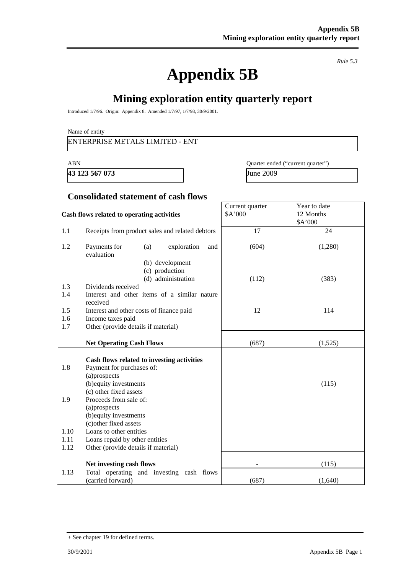# **Appendix 5B**

*Rule 5.3* 

# **Mining exploration entity quarterly report**

Introduced 1/7/96. Origin: Appendix 8. Amended 1/7/97, 1/7/98, 30/9/2001.

Name of entity

## ENTERPRISE METALS LIMITED - ENT

**43 123 567 073** June 2009

ABN Quarter ended ("current quarter")

Year to date 12 Months

Current quarter \$A'000

#### **Consolidated statement of cash flows**

#### **Cash flows related to operating activities**

|                            |                                                                                                                                                                                                                                                                                                        |       | \$A'000 |
|----------------------------|--------------------------------------------------------------------------------------------------------------------------------------------------------------------------------------------------------------------------------------------------------------------------------------------------------|-------|---------|
| 1.1                        | Receipts from product sales and related debtors                                                                                                                                                                                                                                                        | 17    | 24      |
| 1.2                        | Payments for<br>(a)<br>exploration<br>and<br>evaluation<br>(b) development                                                                                                                                                                                                                             | (604) | (1,280) |
|                            | (c) production<br>(d) administration                                                                                                                                                                                                                                                                   | (112) | (383)   |
| 1.3                        | Dividends received                                                                                                                                                                                                                                                                                     |       |         |
| 1.4                        | Interest and other items of a similar nature<br>received                                                                                                                                                                                                                                               |       |         |
| 1.5                        | Interest and other costs of finance paid                                                                                                                                                                                                                                                               | 12    | 114     |
| 1.6                        | Income taxes paid                                                                                                                                                                                                                                                                                      |       |         |
| 1.7                        | Other (provide details if material)                                                                                                                                                                                                                                                                    |       |         |
|                            | <b>Net Operating Cash Flows</b>                                                                                                                                                                                                                                                                        | (687) | (1,525) |
| 1.8<br>1.9<br>1.10<br>1.11 | Cash flows related to investing activities<br>Payment for purchases of:<br>(a)prospects<br>(b) equity investments<br>(c) other fixed assets<br>Proceeds from sale of:<br>(a)prospects<br>(b) equity investments<br>(c) other fixed assets<br>Loans to other entities<br>Loans repaid by other entities |       | (115)   |
| 1.12                       | Other (provide details if material)                                                                                                                                                                                                                                                                    |       |         |
|                            | Net investing cash flows                                                                                                                                                                                                                                                                               |       | (115)   |
| 1.13                       | Total operating and investing cash flows<br>(carried forward)                                                                                                                                                                                                                                          | (687) | (1,640) |

<sup>+</sup> See chapter 19 for defined terms.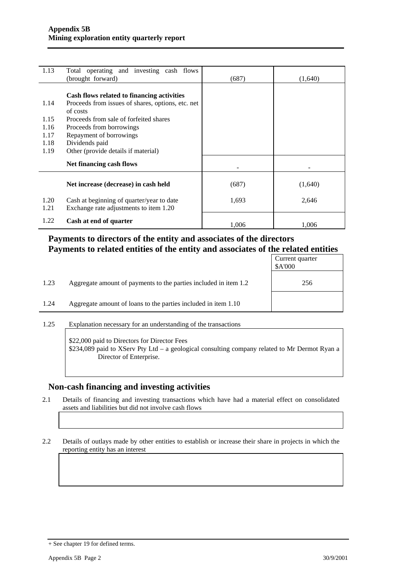| 1.13 | Total operating and investing cash flows          |       |         |
|------|---------------------------------------------------|-------|---------|
|      | (brought forward)                                 | (687) | (1,640) |
|      |                                                   |       |         |
|      | Cash flows related to financing activities        |       |         |
| 1.14 | Proceeds from issues of shares, options, etc. net |       |         |
|      | of costs                                          |       |         |
| 1.15 | Proceeds from sale of forfeited shares            |       |         |
| 1.16 | Proceeds from borrowings                          |       |         |
| 1.17 | Repayment of borrowings                           |       |         |
| 1.18 | Dividends paid                                    |       |         |
| 1.19 | Other (provide details if material)               |       |         |
|      |                                                   |       |         |
|      | Net financing cash flows                          |       |         |
|      |                                                   |       |         |
|      | Net increase (decrease) in cash held              | (687) | (1,640) |
|      |                                                   |       |         |
| 1.20 | Cash at beginning of quarter/year to date         | 1,693 | 2,646   |
| 1.21 | Exchange rate adjustments to item 1.20            |       |         |
|      |                                                   |       |         |
| 1.22 | Cash at end of quarter                            |       |         |
|      |                                                   | 1,006 | 1,006   |

## **Payments to directors of the entity and associates of the directors Payments to related entities of the entity and associates of the related entities**

|      |                                                                  | Current quarter<br>\$A'000 |
|------|------------------------------------------------------------------|----------------------------|
| 1.23 | Aggregate amount of payments to the parties included in item 1.2 | 256                        |
| 1.24 | Aggregate amount of loans to the parties included in item 1.10   |                            |
|      |                                                                  |                            |

1.25 Explanation necessary for an understanding of the transactions

\$22,000 paid to Directors for Director Fees \$234,089 paid to XServ Pty Ltd – a geological consulting company related to Mr Dermot Ryan a Director of Enterprise.

#### **Non-cash financing and investing activities**

2.1 Details of financing and investing transactions which have had a material effect on consolidated assets and liabilities but did not involve cash flows

2.2 Details of outlays made by other entities to establish or increase their share in projects in which the reporting entity has an interest

<sup>+</sup> See chapter 19 for defined terms.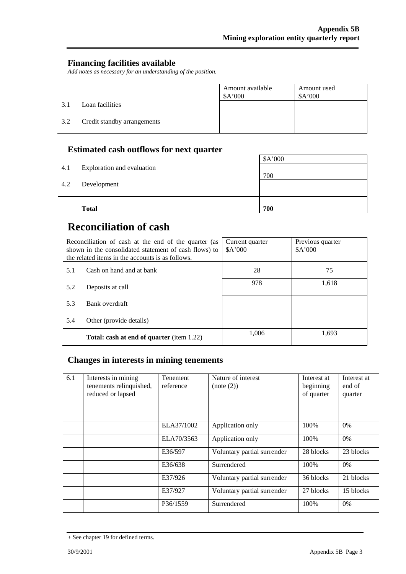## **Financing facilities available**

*Add notes as necessary for an understanding of the position.* 

|     |                             | Amount available<br>\$A'000 | Amount used<br>\$A'000 |
|-----|-----------------------------|-----------------------------|------------------------|
| 3.1 | Loan facilities             |                             |                        |
| 3.2 | Credit standby arrangements |                             |                        |

## **Estimated cash outflows for next quarter**

| 4.2 | Development  |     |
|-----|--------------|-----|
|     | <b>Total</b> | 700 |

# **Reconciliation of cash**

|     | Reconciliation of cash at the end of the quarter (as<br>shown in the consolidated statement of cash flows) to<br>the related items in the accounts is as follows. | Current quarter<br>A'000 | Previous quarter<br>A'000 |
|-----|-------------------------------------------------------------------------------------------------------------------------------------------------------------------|--------------------------|---------------------------|
| 5.1 | Cash on hand and at bank                                                                                                                                          | 28                       | 75                        |
| 5.2 | Deposits at call                                                                                                                                                  | 978                      | 1,618                     |
| 5.3 | Bank overdraft                                                                                                                                                    |                          |                           |
| 5.4 | Other (provide details)                                                                                                                                           |                          |                           |
|     | <b>Total: cash at end of quarter</b> (item 1.22)                                                                                                                  | 1.006                    | 1,693                     |

## **Changes in interests in mining tenements**

| 6.1 | Interests in mining<br>tenements relinquished,<br>reduced or lapsed | Tenement<br>reference | Nature of interest<br>(note (2)) | Interest at<br>beginning<br>of quarter | Interest at<br>end of<br>quarter |
|-----|---------------------------------------------------------------------|-----------------------|----------------------------------|----------------------------------------|----------------------------------|
|     |                                                                     | ELA37/1002            | Application only                 | 100%                                   | $0\%$                            |
|     |                                                                     | ELA70/3563            | Application only                 | 100\%                                  | $0\%$                            |
|     |                                                                     | E36/597               | Voluntary partial surrender      | 28 blocks                              | 23 blocks                        |
|     |                                                                     | E36/638               | Surrendered                      | 100%                                   | $0\%$                            |
|     |                                                                     | E37/926               | Voluntary partial surrender      | 36 blocks                              | 21 blocks                        |
|     |                                                                     | E37/927               | Voluntary partial surrender      | 27 blocks                              | 15 blocks                        |
|     |                                                                     | P36/1559              | Surrendered                      | 100%                                   | $0\%$                            |

<sup>+</sup> See chapter 19 for defined terms.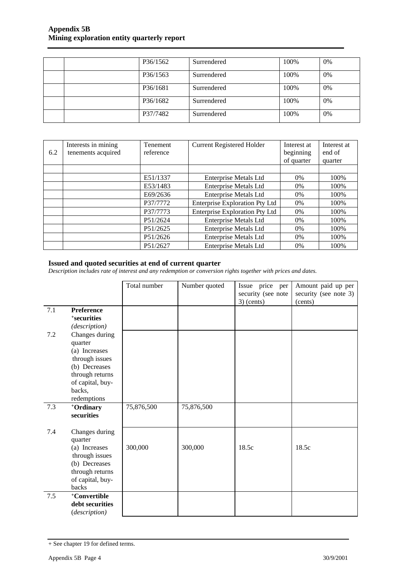### **Appendix 5B Mining exploration entity quarterly report**

|  | P36/1562 | Surrendered | 100% | 0%    |
|--|----------|-------------|------|-------|
|  | P36/1563 | Surrendered | 100% | 0%    |
|  | P36/1681 | Surrendered | 100% | 0%    |
|  | P36/1682 | Surrendered | 100% | $0\%$ |
|  | P37/7482 | Surrendered | 100% | $0\%$ |

| 6.2 | Interests in mining<br>tenements acquired | <b>Tenement</b><br>reference | <b>Current Registered Holder</b>      | Interest at<br>beginning<br>of quarter | Interest at<br>end of<br>quarter |
|-----|-------------------------------------------|------------------------------|---------------------------------------|----------------------------------------|----------------------------------|
|     |                                           |                              |                                       |                                        |                                  |
|     |                                           | E51/1337                     | <b>Enterprise Metals Ltd</b>          | $0\%$                                  | 100%                             |
|     |                                           | E53/1483                     | <b>Enterprise Metals Ltd</b>          | $0\%$                                  | 100%                             |
|     |                                           | E69/2636                     | <b>Enterprise Metals Ltd</b>          | $0\%$                                  | 100%                             |
|     |                                           | P37/7772                     | <b>Enterprise Exploration Pty Ltd</b> | $0\%$                                  | 100%                             |
|     |                                           | P37/7773                     | <b>Enterprise Exploration Pty Ltd</b> | $0\%$                                  | 100%                             |
|     |                                           | P51/2624                     | <b>Enterprise Metals Ltd</b>          | $0\%$                                  | 100%                             |
|     |                                           | P51/2625                     | <b>Enterprise Metals Ltd</b>          | $0\%$                                  | 100%                             |
|     |                                           | P51/2626                     | <b>Enterprise Metals Ltd</b>          | $0\%$                                  | 100%                             |
|     |                                           | P51/2627                     | <b>Enterprise Metals Ltd</b>          | $0\%$                                  | 100%                             |

#### **Issued and quoted securities at end of current quarter**

*Description includes rate of interest and any redemption or conversion rights together with prices and dates.* 

| 7.1 | Preference<br>+securities<br>(description)                                                                                                    | Total number | Number quoted | Issue price<br>per<br>security (see note<br>$3)$ (cents) | Amount paid up per<br>security (see note 3)<br>(cents) |
|-----|-----------------------------------------------------------------------------------------------------------------------------------------------|--------------|---------------|----------------------------------------------------------|--------------------------------------------------------|
| 7.2 | Changes during<br>quarter<br>(a) Increases<br>through issues<br>(b) Decreases<br>through returns<br>of capital, buy-<br>backs,<br>redemptions |              |               |                                                          |                                                        |
| 7.3 | +Ordinary<br>securities                                                                                                                       | 75,876,500   | 75,876,500    |                                                          |                                                        |
| 7.4 | Changes during<br>quarter<br>(a) Increases<br>through issues<br>(b) Decreases<br>through returns<br>of capital, buy-<br>backs                 | 300,000      | 300,000       | 18.5c                                                    | 18.5c                                                  |
| 7.5 | +Convertible<br>debt securities<br>(description)                                                                                              |              |               |                                                          |                                                        |

<sup>+</sup> See chapter 19 for defined terms.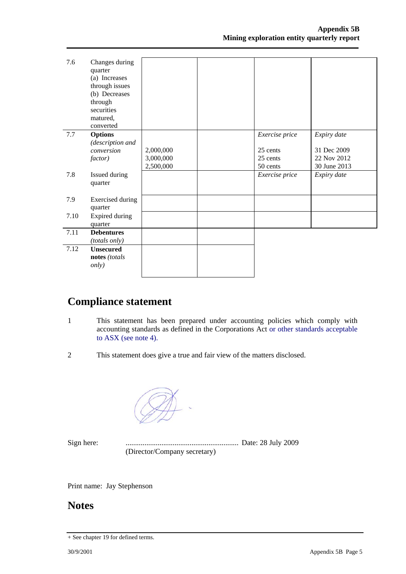| 7.6  | Changes during<br>quarter<br>(a) Increases<br>through issues<br>(b) Decreases<br>through<br>securities<br>matured,<br>converted |           |                |              |
|------|---------------------------------------------------------------------------------------------------------------------------------|-----------|----------------|--------------|
| 7.7  | <b>Options</b>                                                                                                                  |           | Exercise price | Expiry date  |
|      | (description and<br>conversion                                                                                                  | 2,000,000 | 25 cents       | 31 Dec 2009  |
|      | factor)                                                                                                                         | 3,000,000 | 25 cents       | 22 Nov 2012  |
|      |                                                                                                                                 | 2,500,000 | 50 cents       | 30 June 2013 |
| 7.8  | Issued during                                                                                                                   |           | Exercise price | Expiry date  |
|      | quarter                                                                                                                         |           |                |              |
|      |                                                                                                                                 |           |                |              |
| 7.9  | <b>Exercised</b> during                                                                                                         |           |                |              |
|      | quarter                                                                                                                         |           |                |              |
| 7.10 | Expired during                                                                                                                  |           |                |              |
|      | quarter                                                                                                                         |           |                |              |
| 7.11 | <b>Debentures</b>                                                                                                               |           |                |              |
|      | (totals only)                                                                                                                   |           |                |              |
| 7.12 | <b>Unsecured</b>                                                                                                                |           |                |              |
|      | notes (totals                                                                                                                   |           |                |              |
|      | <i>only</i> )                                                                                                                   |           |                |              |
|      |                                                                                                                                 |           |                |              |

# **Compliance statement**

- 1 This statement has been prepared under accounting policies which comply with accounting standards as defined in the Corporations Act or other standards acceptable to ASX (see note 4).
- 2 This statement does give a true and fair view of the matters disclosed.

Sign here: ............................................................ Date: 28 July 2009 (Director/Company secretary)

Print name: Jay Stephenson

## **Notes**

<sup>+</sup> See chapter 19 for defined terms.